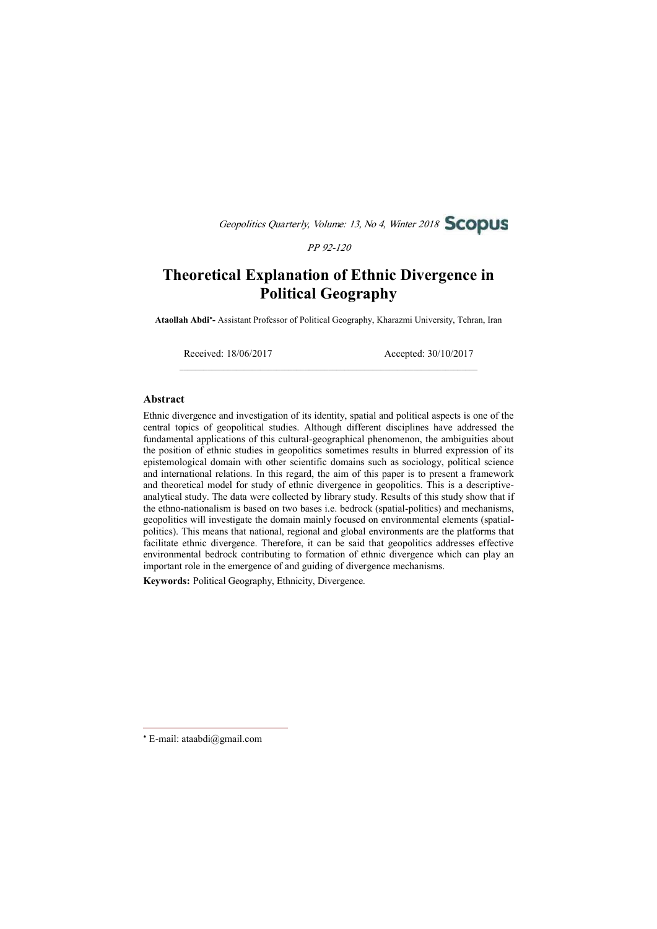Geopolitics Quarterly, Volume: 13, No 4, Winter 2018 **SCODUS** 

PP 92-120

# Theoretical Explanation of Ethnic Divergence in Political Geography

Ataollah Abdi\*- Assistant Professor of Political Geography, Kharazmi University, Tehran, Iran

 $\mathcal{L}_\text{max}$ 

Received: 18/06/2017 Accepted: 30/10/2017

#### Abstract

Ethnic divergence and investigation of its identity, spatial and political aspects is one of the central topics of geopolitical studies. Although different disciplines have addressed the fundamental applications of this cultural-geographical phenomenon, the ambiguities about the position of ethnic studies in geopolitics sometimes results in blurred expression of its epistemological domain with other scientific domains such as sociology, political science and international relations. In this regard, the aim of this paper is to present a framework and theoretical model for study of ethnic divergence in geopolitics. This is a descriptiveanalytical study. The data were collected by library study. Results of this study show that if the ethno-nationalism is based on two bases i.e. bedrock (spatial-politics) and mechanisms, geopolitics will investigate the domain mainly focused on environmental elements (spatialpolitics). This means that national, regional and global environments are the platforms that facilitate ethnic divergence. Therefore, it can be said that geopolitics addresses effective environmental bedrock contributing to formation of ethnic divergence which can play an important role in the emergence of and guiding of divergence mechanisms.

Keywords: Political Geography, Ethnicity, Divergence.

E-mail: ataabdi@gmail.com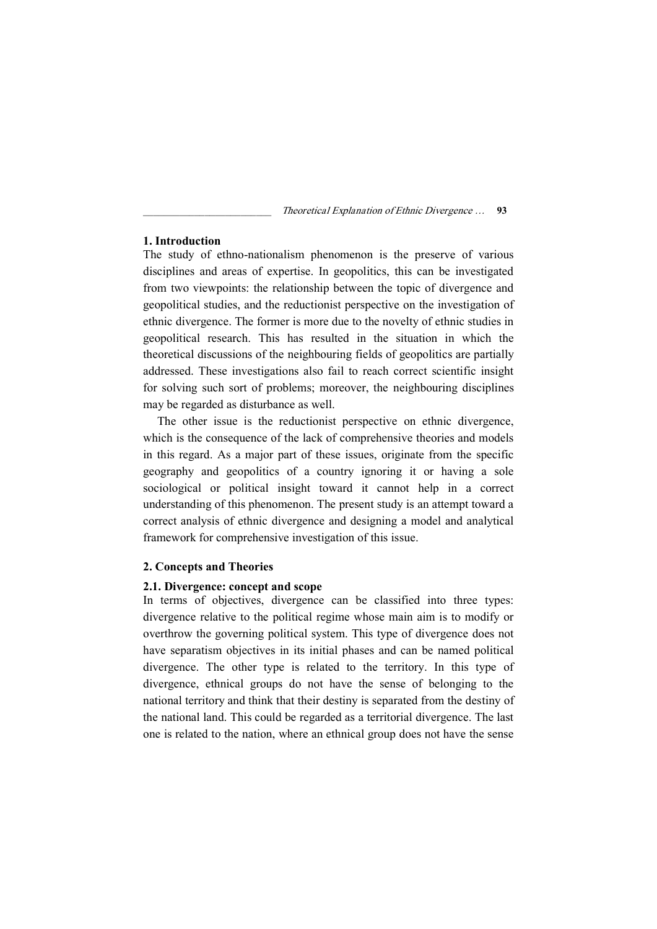# 1. Introduction

The study of ethno-nationalism phenomenon is the preserve of various disciplines and areas of expertise. In geopolitics, this can be investigated from two viewpoints: the relationship between the topic of divergence and geopolitical studies, and the reductionist perspective on the investigation of ethnic divergence. The former is more due to the novelty of ethnic studies in geopolitical research. This has resulted in the situation in which the theoretical discussions of the neighbouring fields of geopolitics are partially addressed. These investigations also fail to reach correct scientific insight for solving such sort of problems; moreover, the neighbouring disciplines may be regarded as disturbance as well.

The other issue is the reductionist perspective on ethnic divergence, which is the consequence of the lack of comprehensive theories and models in this regard. As a major part of these issues, originate from the specific geography and geopolitics of a country ignoring it or having a sole sociological or political insight toward it cannot help in a correct understanding of this phenomenon. The present study is an attempt toward a correct analysis of ethnic divergence and designing a model and analytical framework for comprehensive investigation of this issue.

## 2. Concepts and Theories

## 2.1. Divergence: concept and scope

In terms of objectives, divergence can be classified into three types: divergence relative to the political regime whose main aim is to modify or overthrow the governing political system. This type of divergence does not have separatism objectives in its initial phases and can be named political divergence. The other type is related to the territory. In this type of divergence, ethnical groups do not have the sense of belonging to the national territory and think that their destiny is separated from the destiny of the national land. This could be regarded as a territorial divergence. The last one is related to the nation, where an ethnical group does not have the sense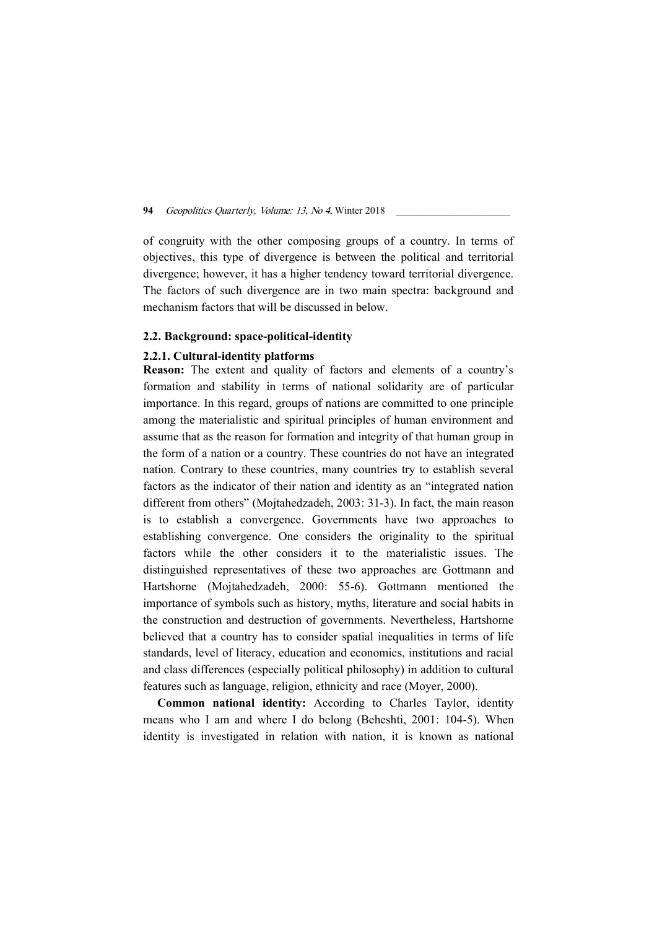of congruity with the other composing groups of a country. In terms of objectives, this type of divergence is between the political and territorial divergence; however, it has a higher tendency toward territorial divergence. The factors of such divergence are in two main spectra: background and mechanism factors that will be discussed in below.

# 2.2. Background: space-political-identity

## 2.2.1. Cultural-identity platforms

Reason: The extent and quality of factors and elements of a country's formation and stability in terms of national solidarity are of particular importance. In this regard, groups of nations are committed to one principle among the materialistic and spiritual principles of human environment and assume that as the reason for formation and integrity of that human group in the form of a nation or a country. These countries do not have an integrated nation. Contrary to these countries, many countries try to establish several factors as the indicator of their nation and identity as an "integrated nation different from others" (Mojtahedzadeh, 2003: 31-3). In fact, the main reason is to establish a convergence. Governments have two approaches to establishing convergence. One considers the originality to the spiritual factors while the other considers it to the materialistic issues. The distinguished representatives of these two approaches are Gottmann and Hartshorne (Mojtahedzadeh, 2000: 55-6). Gottmann mentioned the importance of symbols such as history, myths, literature and social habits in the construction and destruction of governments. Nevertheless, Hartshorne believed that a country has to consider spatial inequalities in terms of life standards, level of literacy, education and economics, institutions and racial and class differences (especially political philosophy) in addition to cultural features such as language, religion, ethnicity and race (Moyer, 2000).

Common national identity: According to Charles Taylor, identity means who I am and where I do belong (Beheshti, 2001: 104-5). When identity is investigated in relation with nation, it is known as national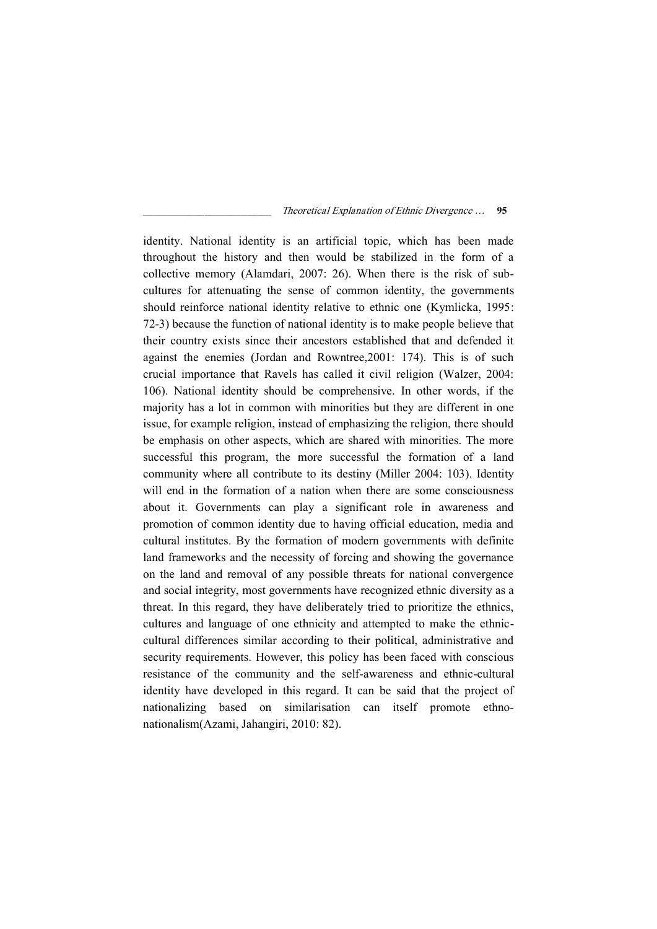identity. National identity is an artificial topic, which has been made throughout the history and then would be stabilized in the form of a collective memory (Alamdari, 2007: 26). When there is the risk of subcultures for attenuating the sense of common identity, the governments should reinforce national identity relative to ethnic one (Kymlicka, 1995: 72-3) because the function of national identity is to make people believe that their country exists since their ancestors established that and defended it against the enemies (Jordan and Rowntree,2001: 174). This is of such crucial importance that Ravels has called it civil religion (Walzer, 2004: 106). National identity should be comprehensive. In other words, if the majority has a lot in common with minorities but they are different in one issue, for example religion, instead of emphasizing the religion, there should be emphasis on other aspects, which are shared with minorities. The more successful this program, the more successful the formation of a land community where all contribute to its destiny (Miller 2004: 103). Identity will end in the formation of a nation when there are some consciousness about it. Governments can play a significant role in awareness and promotion of common identity due to having official education, media and cultural institutes. By the formation of modern governments with definite land frameworks and the necessity of forcing and showing the governance on the land and removal of any possible threats for national convergence and social integrity, most governments have recognized ethnic diversity as a threat. In this regard, they have deliberately tried to prioritize the ethnics, cultures and language of one ethnicity and attempted to make the ethniccultural differences similar according to their political, administrative and security requirements. However, this policy has been faced with conscious resistance of the community and the self-awareness and ethnic-cultural identity have developed in this regard. It can be said that the project of nationalizing based on similarisation can itself promote ethnonationalism(Azami, Jahangiri, 2010: 82).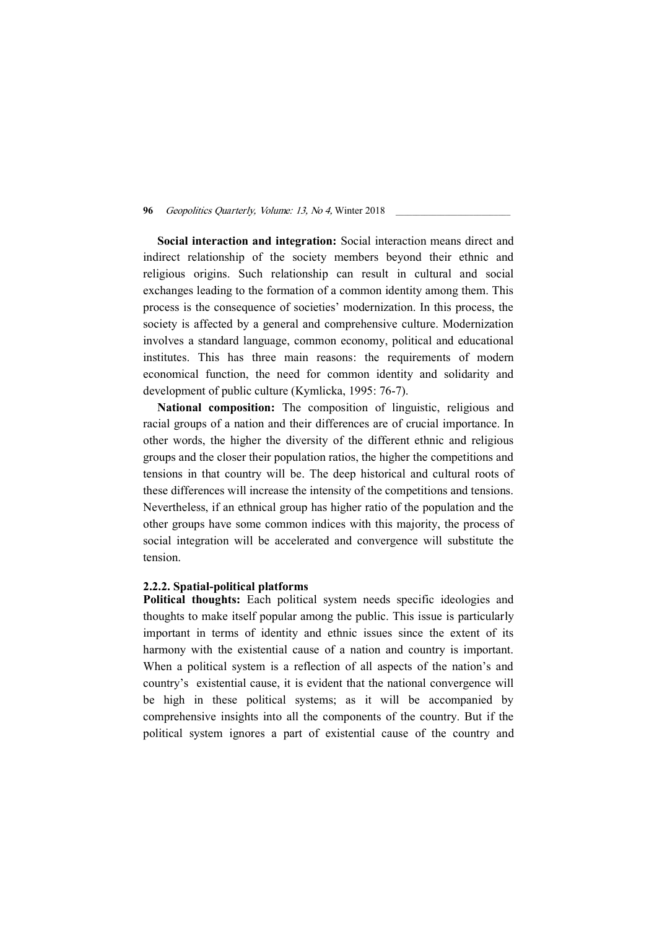Social interaction and integration: Social interaction means direct and indirect relationship of the society members beyond their ethnic and religious origins. Such relationship can result in cultural and social exchanges leading to the formation of a common identity among them. This process is the consequence of societies' modernization. In this process, the society is affected by a general and comprehensive culture. Modernization involves a standard language, common economy, political and educational institutes. This has three main reasons: the requirements of modern economical function, the need for common identity and solidarity and development of public culture (Kymlicka, 1995: 76-7).

National composition: The composition of linguistic, religious and racial groups of a nation and their differences are of crucial importance. In other words, the higher the diversity of the different ethnic and religious groups and the closer their population ratios, the higher the competitions and tensions in that country will be. The deep historical and cultural roots of these differences will increase the intensity of the competitions and tensions. Nevertheless, if an ethnical group has higher ratio of the population and the other groups have some common indices with this majority, the process of social integration will be accelerated and convergence will substitute the tension.

# 2.2.2. Spatial-political platforms

Political thoughts: Each political system needs specific ideologies and thoughts to make itself popular among the public. This issue is particularly important in terms of identity and ethnic issues since the extent of its harmony with the existential cause of a nation and country is important. When a political system is a reflection of all aspects of the nation's and country's existential cause, it is evident that the national convergence will be high in these political systems; as it will be accompanied by comprehensive insights into all the components of the country. But if the political system ignores a part of existential cause of the country and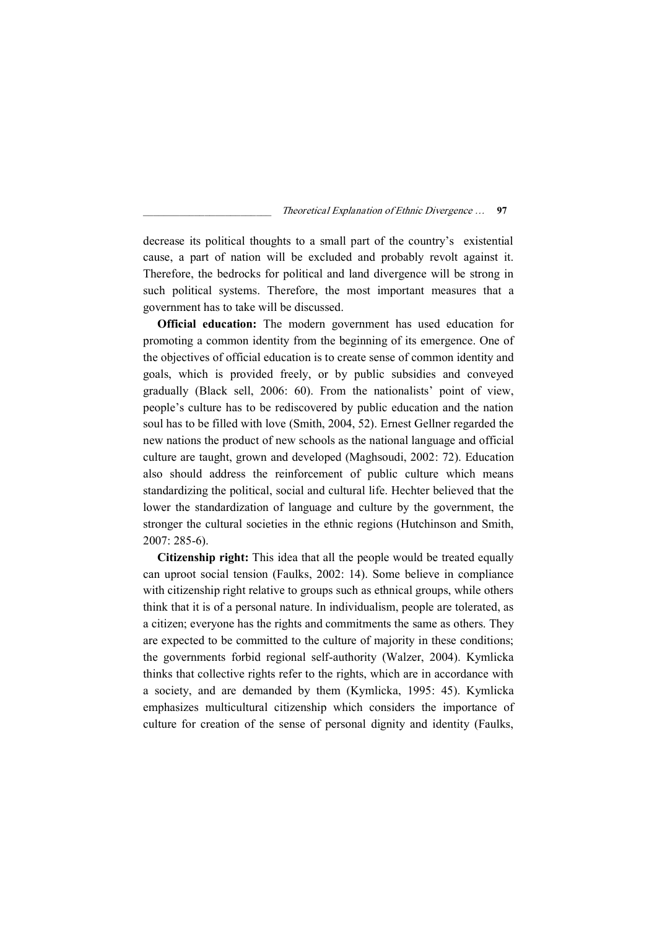decrease its political thoughts to a small part of the country's existential cause, a part of nation will be excluded and probably revolt against it. Therefore, the bedrocks for political and land divergence will be strong in such political systems. Therefore, the most important measures that a government has to take will be discussed.

Official education: The modern government has used education for promoting a common identity from the beginning of its emergence. One of the objectives of official education is to create sense of common identity and goals, which is provided freely, or by public subsidies and conveyed gradually (Black sell, 2006: 60). From the nationalists' point of view, people's culture has to be rediscovered by public education and the nation soul has to be filled with love (Smith, 2004, 52). Ernest Gellner regarded the new nations the product of new schools as the national language and official culture are taught, grown and developed (Maghsoudi, 2002: 72). Education also should address the reinforcement of public culture which means standardizing the political, social and cultural life. Hechter believed that the lower the standardization of language and culture by the government, the stronger the cultural societies in the ethnic regions (Hutchinson and Smith, 2007: 285-6).

Citizenship right: This idea that all the people would be treated equally can uproot social tension (Faulks, 2002: 14). Some believe in compliance with citizenship right relative to groups such as ethnical groups, while others think that it is of a personal nature. In individualism, people are tolerated, as a citizen; everyone has the rights and commitments the same as others. They are expected to be committed to the culture of majority in these conditions; the governments forbid regional self-authority (Walzer, 2004). Kymlicka thinks that collective rights refer to the rights, which are in accordance with a society, and are demanded by them (Kymlicka, 1995: 45). Kymlicka emphasizes multicultural citizenship which considers the importance of culture for creation of the sense of personal dignity and identity (Faulks,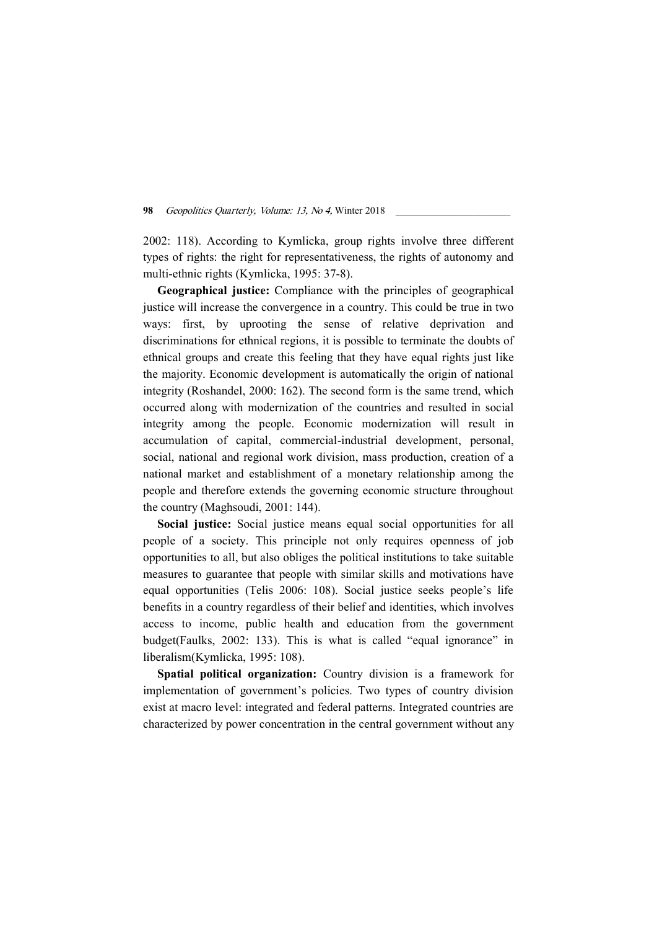2002: 118). According to Kymlicka, group rights involve three different types of rights: the right for representativeness, the rights of autonomy and multi-ethnic rights (Kymlicka, 1995: 37-8).

Geographical justice: Compliance with the principles of geographical justice will increase the convergence in a country. This could be true in two ways: first, by uprooting the sense of relative deprivation and discriminations for ethnical regions, it is possible to terminate the doubts of ethnical groups and create this feeling that they have equal rights just like the majority. Economic development is automatically the origin of national integrity (Roshandel, 2000: 162). The second form is the same trend, which occurred along with modernization of the countries and resulted in social integrity among the people. Economic modernization will result in accumulation of capital, commercial-industrial development, personal, social, national and regional work division, mass production, creation of a national market and establishment of a monetary relationship among the people and therefore extends the governing economic structure throughout the country (Maghsoudi, 2001: 144).

Social justice: Social justice means equal social opportunities for all people of a society. This principle not only requires openness of job opportunities to all, but also obliges the political institutions to take suitable measures to guarantee that people with similar skills and motivations have equal opportunities (Telis 2006: 108). Social justice seeks people's life benefits in a country regardless of their belief and identities, which involves access to income, public health and education from the government budget(Faulks, 2002: 133). This is what is called "equal ignorance" in liberalism(Kymlicka, 1995: 108).

Spatial political organization: Country division is a framework for implementation of government's policies. Two types of country division exist at macro level: integrated and federal patterns. Integrated countries are characterized by power concentration in the central government without any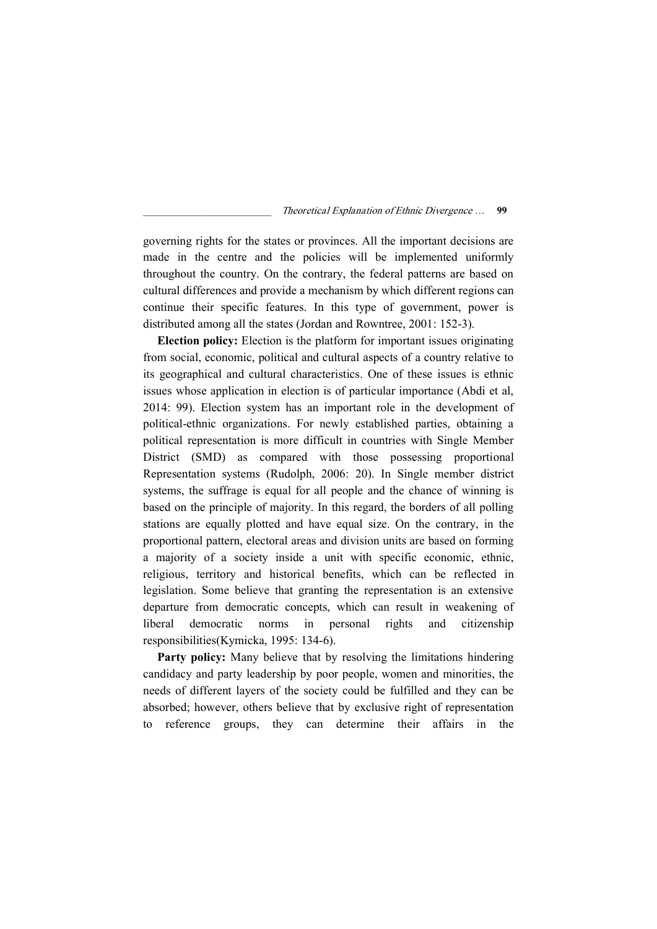governing rights for the states or provinces. All the important decisions are made in the centre and the policies will be implemented uniformly throughout the country. On the contrary, the federal patterns are based on cultural differences and provide a mechanism by which different regions can continue their specific features. In this type of government, power is distributed among all the states (Jordan and Rowntree, 2001: 152-3).

Election policy: Election is the platform for important issues originating from social, economic, political and cultural aspects of a country relative to its geographical and cultural characteristics. One of these issues is ethnic issues whose application in election is of particular importance (Abdi et al, 2014: 99). Election system has an important role in the development of political-ethnic organizations. For newly established parties, obtaining a political representation is more difficult in countries with Single Member District (SMD) as compared with those possessing proportional Representation systems (Rudolph, 2006: 20). In Single member district systems, the suffrage is equal for all people and the chance of winning is based on the principle of majority. In this regard, the borders of all polling stations are equally plotted and have equal size. On the contrary, in the proportional pattern, electoral areas and division units are based on forming a majority of a society inside a unit with specific economic, ethnic, religious, territory and historical benefits, which can be reflected in legislation. Some believe that granting the representation is an extensive departure from democratic concepts, which can result in weakening of liberal democratic norms in personal rights and citizenship responsibilities(Kymicka, 1995: 134-6).

Party policy: Many believe that by resolving the limitations hindering candidacy and party leadership by poor people, women and minorities, the needs of different layers of the society could be fulfilled and they can be absorbed; however, others believe that by exclusive right of representation to reference groups, they can determine their affairs in the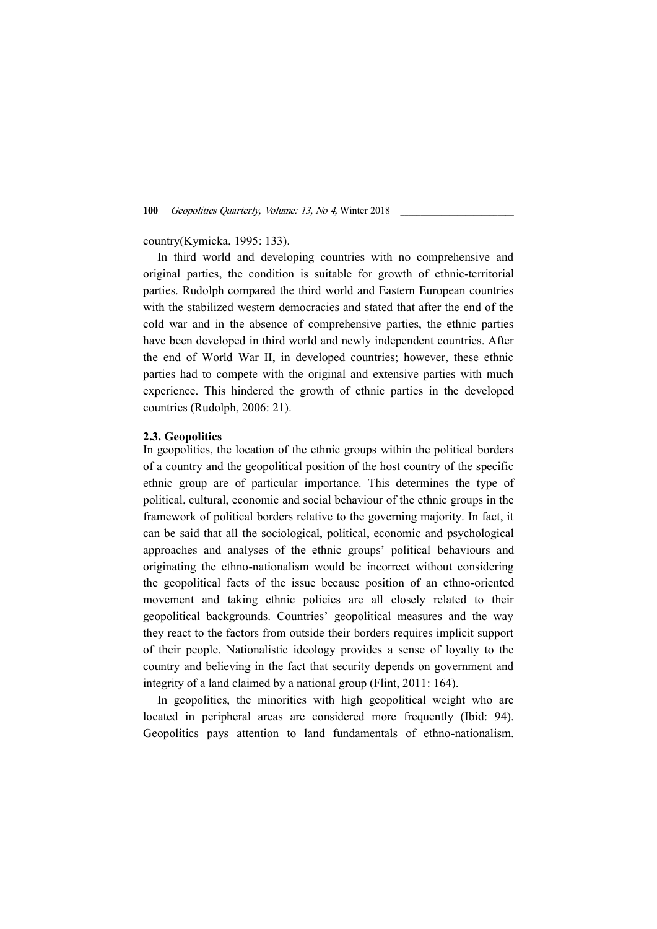# country(Kymicka, 1995: 133).

In third world and developing countries with no comprehensive and original parties, the condition is suitable for growth of ethnic-territorial parties. Rudolph compared the third world and Eastern European countries with the stabilized western democracies and stated that after the end of the cold war and in the absence of comprehensive parties, the ethnic parties have been developed in third world and newly independent countries. After the end of World War II, in developed countries; however, these ethnic parties had to compete with the original and extensive parties with much experience. This hindered the growth of ethnic parties in the developed countries (Rudolph, 2006: 21).

## 2.3. Geopolitics

In geopolitics, the location of the ethnic groups within the political borders of a country and the geopolitical position of the host country of the specific ethnic group are of particular importance. This determines the type of political, cultural, economic and social behaviour of the ethnic groups in the framework of political borders relative to the governing majority. In fact, it can be said that all the sociological, political, economic and psychological approaches and analyses of the ethnic groups' political behaviours and originating the ethno-nationalism would be incorrect without considering the geopolitical facts of the issue because position of an ethno-oriented movement and taking ethnic policies are all closely related to their geopolitical backgrounds. Countries' geopolitical measures and the way they react to the factors from outside their borders requires implicit support of their people. Nationalistic ideology provides a sense of loyalty to the country and believing in the fact that security depends on government and integrity of a land claimed by a national group (Flint, 2011: 164).

In geopolitics, the minorities with high geopolitical weight who are located in peripheral areas are considered more frequently (Ibid: 94). Geopolitics pays attention to land fundamentals of ethno-nationalism.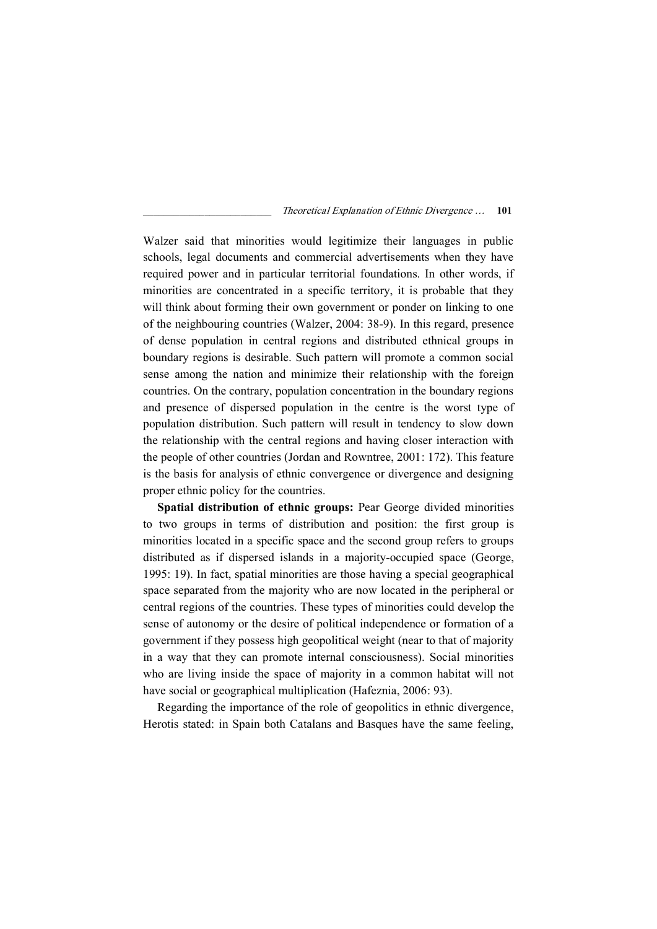Walzer said that minorities would legitimize their languages in public schools, legal documents and commercial advertisements when they have required power and in particular territorial foundations. In other words, if minorities are concentrated in a specific territory, it is probable that they will think about forming their own government or ponder on linking to one of the neighbouring countries (Walzer, 2004: 38-9). In this regard, presence of dense population in central regions and distributed ethnical groups in boundary regions is desirable. Such pattern will promote a common social sense among the nation and minimize their relationship with the foreign countries. On the contrary, population concentration in the boundary regions and presence of dispersed population in the centre is the worst type of population distribution. Such pattern will result in tendency to slow down the relationship with the central regions and having closer interaction with the people of other countries (Jordan and Rowntree, 2001: 172). This feature is the basis for analysis of ethnic convergence or divergence and designing proper ethnic policy for the countries.

Spatial distribution of ethnic groups: Pear George divided minorities to two groups in terms of distribution and position: the first group is minorities located in a specific space and the second group refers to groups distributed as if dispersed islands in a majority-occupied space (George, 1995: 19). In fact, spatial minorities are those having a special geographical space separated from the majority who are now located in the peripheral or central regions of the countries. These types of minorities could develop the sense of autonomy or the desire of political independence or formation of a government if they possess high geopolitical weight (near to that of majority in a way that they can promote internal consciousness). Social minorities who are living inside the space of majority in a common habitat will not have social or geographical multiplication (Hafeznia, 2006: 93).

Regarding the importance of the role of geopolitics in ethnic divergence, Herotis stated: in Spain both Catalans and Basques have the same feeling,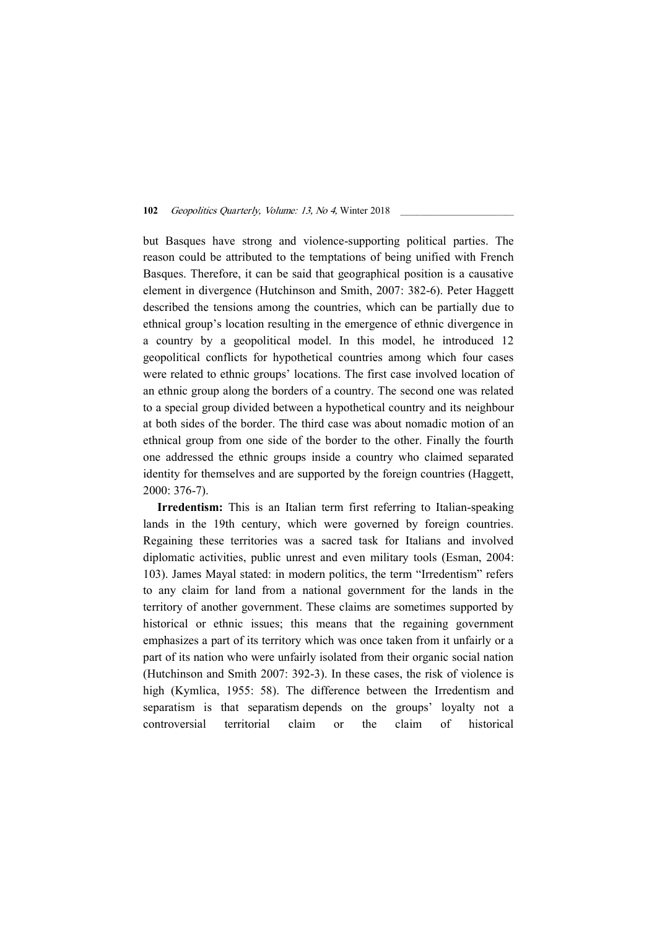but Basques have strong and violence-supporting political parties. The reason could be attributed to the temptations of being unified with French Basques. Therefore, it can be said that geographical position is a causative element in divergence (Hutchinson and Smith, 2007: 382-6). Peter Haggett described the tensions among the countries, which can be partially due to ethnical group's location resulting in the emergence of ethnic divergence in a country by a geopolitical model. In this model, he introduced 12 geopolitical conflicts for hypothetical countries among which four cases were related to ethnic groups' locations. The first case involved location of an ethnic group along the borders of a country. The second one was related to a special group divided between a hypothetical country and its neighbour at both sides of the border. The third case was about nomadic motion of an ethnical group from one side of the border to the other. Finally the fourth one addressed the ethnic groups inside a country who claimed separated identity for themselves and are supported by the foreign countries (Haggett, 2000: 376-7).

Irredentism: This is an Italian term first referring to Italian-speaking lands in the 19th century, which were governed by foreign countries. Regaining these territories was a sacred task for Italians and involved diplomatic activities, public unrest and even military tools (Esman, 2004: 103). James Mayal stated: in modern politics, the term "Irredentism" refers to any claim for land from a national government for the lands in the territory of another government. These claims are sometimes supported by historical or ethnic issues; this means that the regaining government emphasizes a part of its territory which was once taken from it unfairly or a part of its nation who were unfairly isolated from their organic social nation (Hutchinson and Smith 2007: 392-3). In these cases, the risk of violence is high (Kymlica, 1955: 58). The difference between the Irredentism and separatism is that separatism depends on the groups' loyalty not a controversial territorial claim or the claim of historical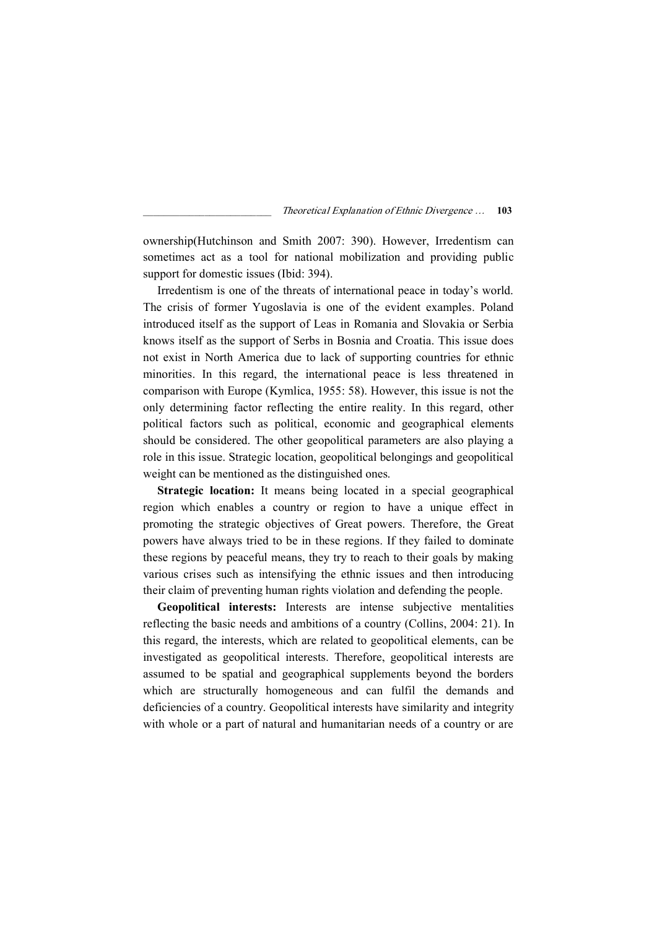ownership(Hutchinson and Smith 2007: 390). However, Irredentism can sometimes act as a tool for national mobilization and providing public support for domestic issues (Ibid: 394).

Irredentism is one of the threats of international peace in today's world. The crisis of former Yugoslavia is one of the evident examples. Poland introduced itself as the support of Leas in Romania and Slovakia or Serbia knows itself as the support of Serbs in Bosnia and Croatia. This issue does not exist in North America due to lack of supporting countries for ethnic minorities. In this regard, the international peace is less threatened in comparison with Europe (Kymlica, 1955: 58). However, this issue is not the only determining factor reflecting the entire reality. In this regard, other political factors such as political, economic and geographical elements should be considered. The other geopolitical parameters are also playing a role in this issue. Strategic location, geopolitical belongings and geopolitical weight can be mentioned as the distinguished ones.

Strategic location: It means being located in a special geographical region which enables a country or region to have a unique effect in promoting the strategic objectives of Great powers. Therefore, the Great powers have always tried to be in these regions. If they failed to dominate these regions by peaceful means, they try to reach to their goals by making various crises such as intensifying the ethnic issues and then introducing their claim of preventing human rights violation and defending the people.

Geopolitical interests: Interests are intense subjective mentalities reflecting the basic needs and ambitions of a country (Collins, 2004: 21). In this regard, the interests, which are related to geopolitical elements, can be investigated as geopolitical interests. Therefore, geopolitical interests are assumed to be spatial and geographical supplements beyond the borders which are structurally homogeneous and can fulfil the demands and deficiencies of a country. Geopolitical interests have similarity and integrity with whole or a part of natural and humanitarian needs of a country or are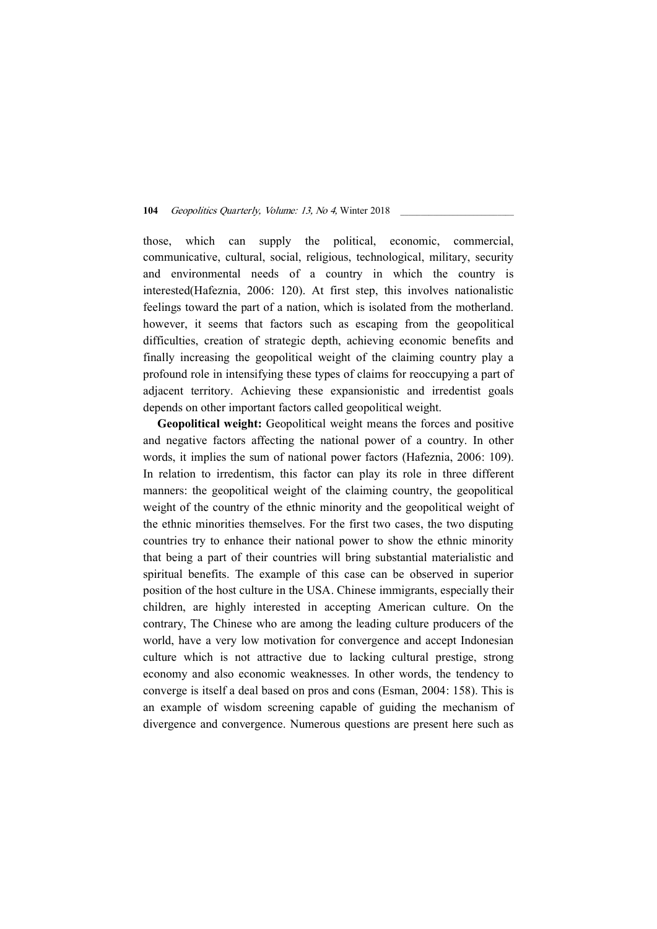those, which can supply the political, economic, commercial, communicative, cultural, social, religious, technological, military, security and environmental needs of a country in which the country is interested(Hafeznia, 2006: 120). At first step, this involves nationalistic feelings toward the part of a nation, which is isolated from the motherland. however, it seems that factors such as escaping from the geopolitical difficulties, creation of strategic depth, achieving economic benefits and finally increasing the geopolitical weight of the claiming country play a profound role in intensifying these types of claims for reoccupying a part of adjacent territory. Achieving these expansionistic and irredentist goals depends on other important factors called geopolitical weight.

Geopolitical weight: Geopolitical weight means the forces and positive and negative factors affecting the national power of a country. In other words, it implies the sum of national power factors (Hafeznia, 2006: 109). In relation to irredentism, this factor can play its role in three different manners: the geopolitical weight of the claiming country, the geopolitical weight of the country of the ethnic minority and the geopolitical weight of the ethnic minorities themselves. For the first two cases, the two disputing countries try to enhance their national power to show the ethnic minority that being a part of their countries will bring substantial materialistic and spiritual benefits. The example of this case can be observed in superior position of the host culture in the USA. Chinese immigrants, especially their children, are highly interested in accepting American culture. On the contrary, The Chinese who are among the leading culture producers of the world, have a very low motivation for convergence and accept Indonesian culture which is not attractive due to lacking cultural prestige, strong economy and also economic weaknesses. In other words, the tendency to converge is itself a deal based on pros and cons (Esman, 2004: 158). This is an example of wisdom screening capable of guiding the mechanism of divergence and convergence. Numerous questions are present here such as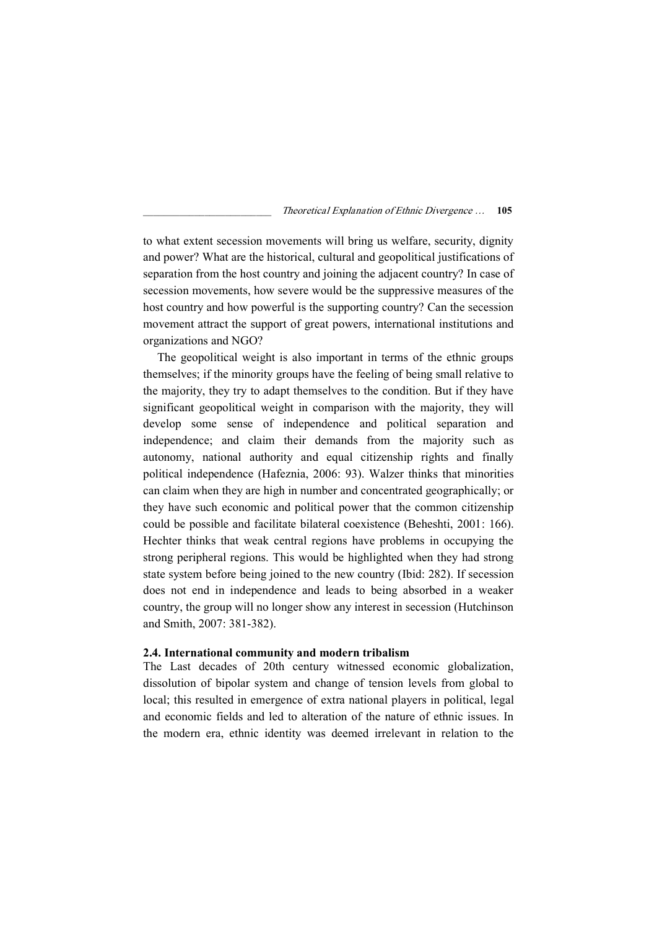to what extent secession movements will bring us welfare, security, dignity and power? What are the historical, cultural and geopolitical justifications of separation from the host country and joining the adjacent country? In case of secession movements, how severe would be the suppressive measures of the host country and how powerful is the supporting country? Can the secession movement attract the support of great powers, international institutions and organizations and NGO?

The geopolitical weight is also important in terms of the ethnic groups themselves; if the minority groups have the feeling of being small relative to the majority, they try to adapt themselves to the condition. But if they have significant geopolitical weight in comparison with the majority, they will develop some sense of independence and political separation and independence; and claim their demands from the majority such as autonomy, national authority and equal citizenship rights and finally political independence (Hafeznia, 2006: 93). Walzer thinks that minorities can claim when they are high in number and concentrated geographically; or they have such economic and political power that the common citizenship could be possible and facilitate bilateral coexistence (Beheshti, 2001: 166). Hechter thinks that weak central regions have problems in occupying the strong peripheral regions. This would be highlighted when they had strong state system before being joined to the new country (Ibid: 282). If secession does not end in independence and leads to being absorbed in a weaker country, the group will no longer show any interest in secession (Hutchinson and Smith, 2007: 381-382).

## 2.4. International community and modern tribalism

The Last decades of 20th century witnessed economic globalization, dissolution of bipolar system and change of tension levels from global to local; this resulted in emergence of extra national players in political, legal and economic fields and led to alteration of the nature of ethnic issues. In the modern era, ethnic identity was deemed irrelevant in relation to the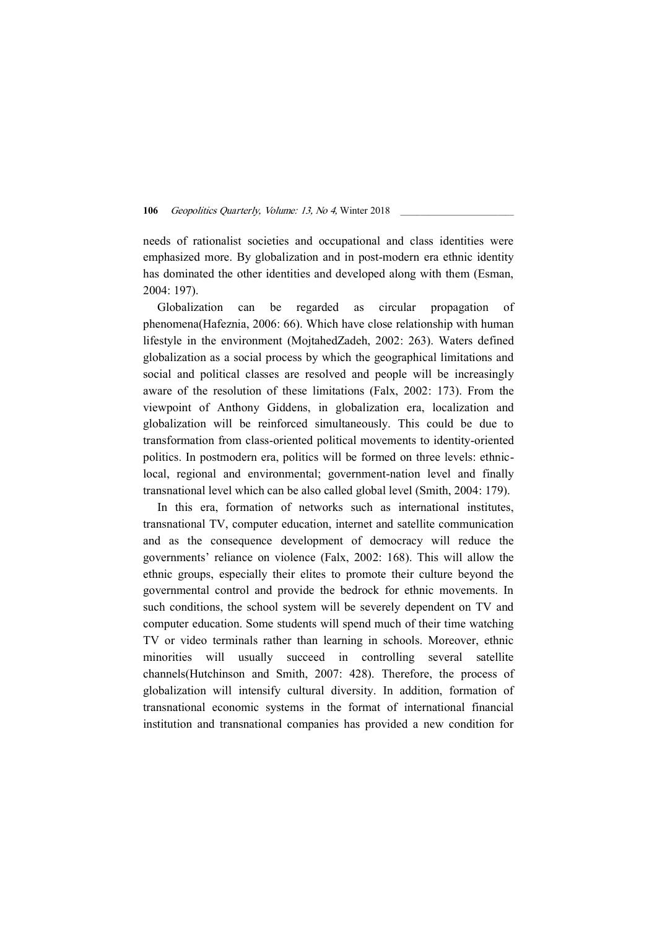needs of rationalist societies and occupational and class identities were emphasized more. By globalization and in post-modern era ethnic identity has dominated the other identities and developed along with them (Esman, 2004: 197).

Globalization can be regarded as circular propagation of phenomena(Hafeznia, 2006: 66). Which have close relationship with human lifestyle in the environment (MojtahedZadeh, 2002: 263). Waters defined globalization as a social process by which the geographical limitations and social and political classes are resolved and people will be increasingly aware of the resolution of these limitations (Falx, 2002: 173). From the viewpoint of Anthony Giddens, in globalization era, localization and globalization will be reinforced simultaneously. This could be due to transformation from class-oriented political movements to identity-oriented politics. In postmodern era, politics will be formed on three levels: ethniclocal, regional and environmental; government-nation level and finally transnational level which can be also called global level (Smith, 2004: 179).

In this era, formation of networks such as international institutes, transnational TV, computer education, internet and satellite communication and as the consequence development of democracy will reduce the governments' reliance on violence (Falx, 2002: 168). This will allow the ethnic groups, especially their elites to promote their culture beyond the governmental control and provide the bedrock for ethnic movements. In such conditions, the school system will be severely dependent on TV and computer education. Some students will spend much of their time watching TV or video terminals rather than learning in schools. Moreover, ethnic minorities will usually succeed in controlling several satellite channels(Hutchinson and Smith, 2007: 428). Therefore, the process of globalization will intensify cultural diversity. In addition, formation of transnational economic systems in the format of international financial institution and transnational companies has provided a new condition for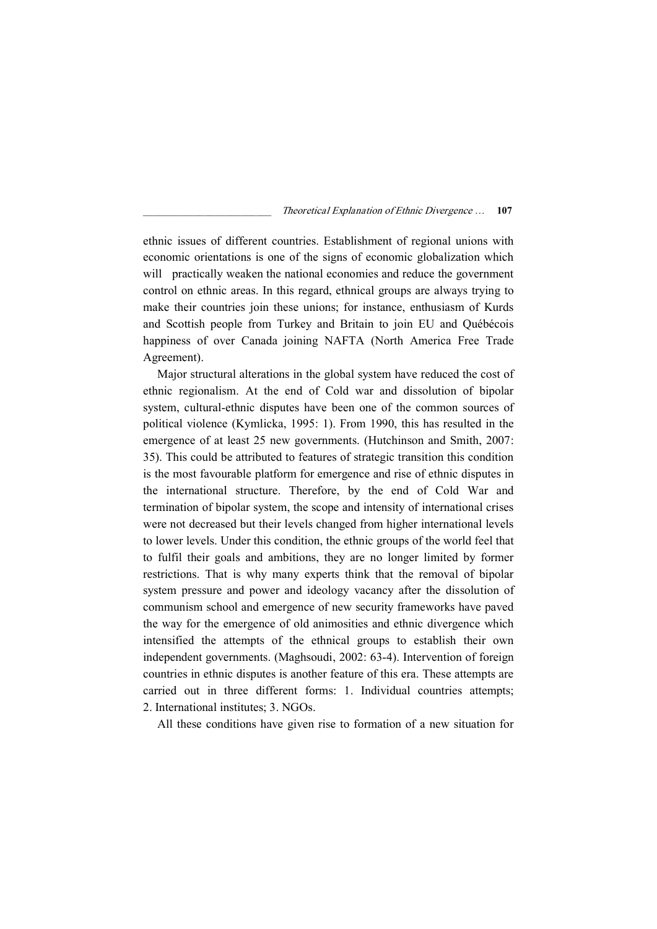ethnic issues of different countries. Establishment of regional unions with economic orientations is one of the signs of economic globalization which will practically weaken the national economies and reduce the government control on ethnic areas. In this regard, ethnical groups are always trying to make their countries join these unions; for instance, enthusiasm of Kurds and Scottish people from Turkey and Britain to join EU and Québécois happiness of over Canada joining NAFTA (North America Free Trade Agreement).

Major structural alterations in the global system have reduced the cost of ethnic regionalism. At the end of Cold war and dissolution of bipolar system, cultural-ethnic disputes have been one of the common sources of political violence (Kymlicka, 1995: 1). From 1990, this has resulted in the emergence of at least 25 new governments. (Hutchinson and Smith, 2007: 35). This could be attributed to features of strategic transition this condition is the most favourable platform for emergence and rise of ethnic disputes in the international structure. Therefore, by the end of Cold War and termination of bipolar system, the scope and intensity of international crises were not decreased but their levels changed from higher international levels to lower levels. Under this condition, the ethnic groups of the world feel that to fulfil their goals and ambitions, they are no longer limited by former restrictions. That is why many experts think that the removal of bipolar system pressure and power and ideology vacancy after the dissolution of communism school and emergence of new security frameworks have paved the way for the emergence of old animosities and ethnic divergence which intensified the attempts of the ethnical groups to establish their own independent governments. (Maghsoudi, 2002: 63-4). Intervention of foreign countries in ethnic disputes is another feature of this era. These attempts are carried out in three different forms: 1. Individual countries attempts; 2. International institutes; 3. NGOs.

All these conditions have given rise to formation of a new situation for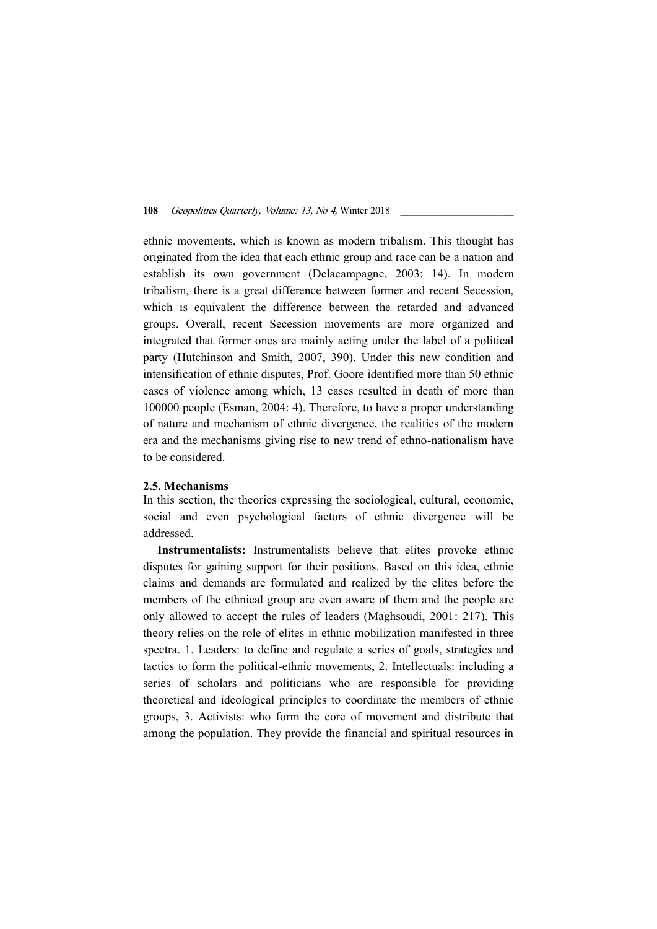ethnic movements, which is known as modern tribalism. This thought has originated from the idea that each ethnic group and race can be a nation and establish its own government (Delacampagne, 2003: 14). In modern tribalism, there is a great difference between former and recent Secession, which is equivalent the difference between the retarded and advanced groups. Overall, recent Secession movements are more organized and integrated that former ones are mainly acting under the label of a political party (Hutchinson and Smith, 2007, 390). Under this new condition and intensification of ethnic disputes, Prof. Goore identified more than 50 ethnic cases of violence among which, 13 cases resulted in death of more than 100000 people (Esman, 2004: 4). Therefore, to have a proper understanding of nature and mechanism of ethnic divergence, the realities of the modern era and the mechanisms giving rise to new trend of ethno-nationalism have to be considered.

#### 2.5. Mechanisms

In this section, the theories expressing the sociological, cultural, economic, social and even psychological factors of ethnic divergence will be addressed.

Instrumentalists: Instrumentalists believe that elites provoke ethnic disputes for gaining support for their positions. Based on this idea, ethnic claims and demands are formulated and realized by the elites before the members of the ethnical group are even aware of them and the people are only allowed to accept the rules of leaders (Maghsoudi, 2001: 217). This theory relies on the role of elites in ethnic mobilization manifested in three spectra. 1. Leaders: to define and regulate a series of goals, strategies and tactics to form the political-ethnic movements, 2. Intellectuals: including a series of scholars and politicians who are responsible for providing theoretical and ideological principles to coordinate the members of ethnic groups, 3. Activists: who form the core of movement and distribute that among the population. They provide the financial and spiritual resources in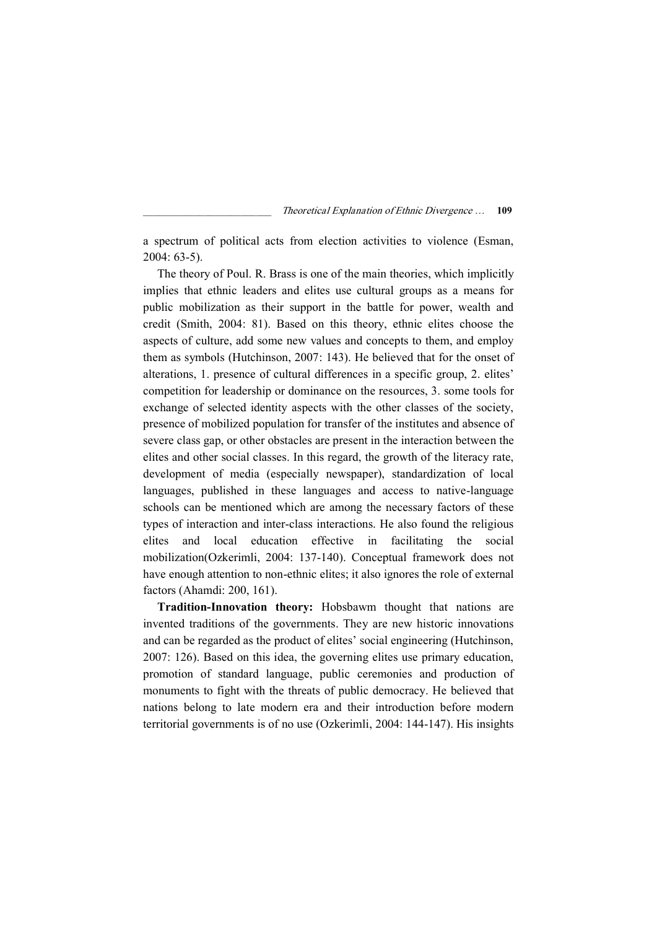a spectrum of political acts from election activities to violence (Esman, 2004: 63-5).

The theory of Poul. R. Brass is one of the main theories, which implicitly implies that ethnic leaders and elites use cultural groups as a means for public mobilization as their support in the battle for power, wealth and credit (Smith, 2004: 81). Based on this theory, ethnic elites choose the aspects of culture, add some new values and concepts to them, and employ them as symbols (Hutchinson, 2007: 143). He believed that for the onset of alterations, 1. presence of cultural differences in a specific group, 2. elites' competition for leadership or dominance on the resources, 3. some tools for exchange of selected identity aspects with the other classes of the society, presence of mobilized population for transfer of the institutes and absence of severe class gap, or other obstacles are present in the interaction between the elites and other social classes. In this regard, the growth of the literacy rate, development of media (especially newspaper), standardization of local languages, published in these languages and access to native-language schools can be mentioned which are among the necessary factors of these types of interaction and inter-class interactions. He also found the religious elites and local education effective in facilitating the social mobilization(Ozkerimli, 2004: 137-140). Conceptual framework does not have enough attention to non-ethnic elites; it also ignores the role of external factors (Ahamdi: 200, 161).

Tradition-Innovation theory: Hobsbawm thought that nations are invented traditions of the governments. They are new historic innovations and can be regarded as the product of elites' social engineering (Hutchinson, 2007: 126). Based on this idea, the governing elites use primary education, promotion of standard language, public ceremonies and production of monuments to fight with the threats of public democracy. He believed that nations belong to late modern era and their introduction before modern territorial governments is of no use (Ozkerimli, 2004: 144-147). His insights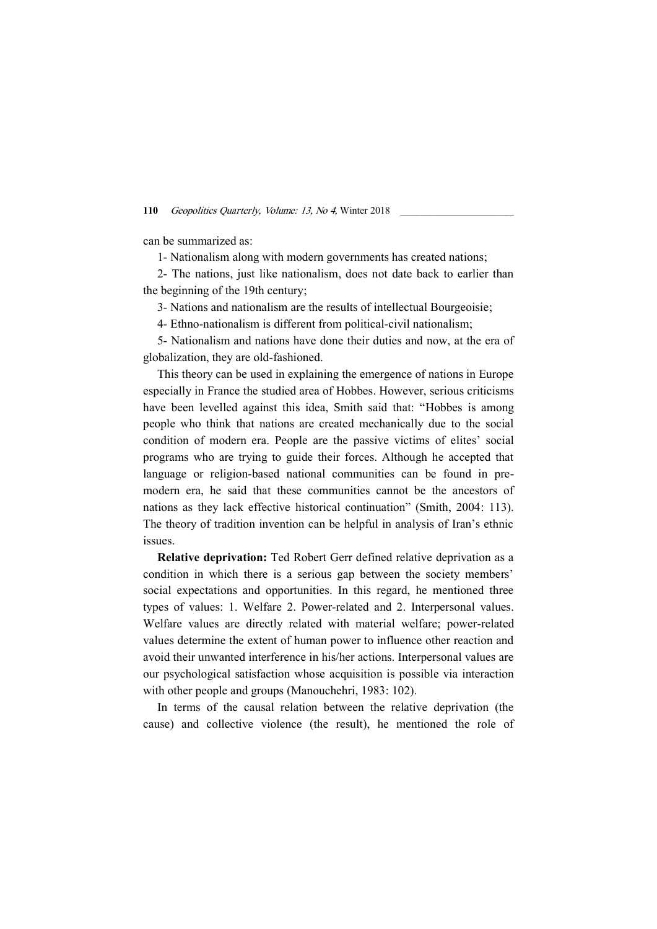can be summarized as:

1- Nationalism along with modern governments has created nations;

2- The nations, just like nationalism, does not date back to earlier than the beginning of the 19th century;

3- Nations and nationalism are the results of intellectual Bourgeoisie;

4- Ethno-nationalism is different from political-civil nationalism;

5- Nationalism and nations have done their duties and now, at the era of globalization, they are old-fashioned.

This theory can be used in explaining the emergence of nations in Europe especially in France the studied area of Hobbes. However, serious criticisms have been levelled against this idea, Smith said that: "Hobbes is among people who think that nations are created mechanically due to the social condition of modern era. People are the passive victims of elites' social programs who are trying to guide their forces. Although he accepted that language or religion-based national communities can be found in premodern era, he said that these communities cannot be the ancestors of nations as they lack effective historical continuation" (Smith, 2004: 113). The theory of tradition invention can be helpful in analysis of Iran's ethnic issues.

Relative deprivation: Ted Robert Gerr defined relative deprivation as a condition in which there is a serious gap between the society members' social expectations and opportunities. In this regard, he mentioned three types of values: 1. Welfare 2. Power-related and 2. Interpersonal values. Welfare values are directly related with material welfare; power-related values determine the extent of human power to influence other reaction and avoid their unwanted interference in his/her actions. Interpersonal values are our psychological satisfaction whose acquisition is possible via interaction with other people and groups (Manouchehri, 1983: 102).

In terms of the causal relation between the relative deprivation (the cause) and collective violence (the result), he mentioned the role of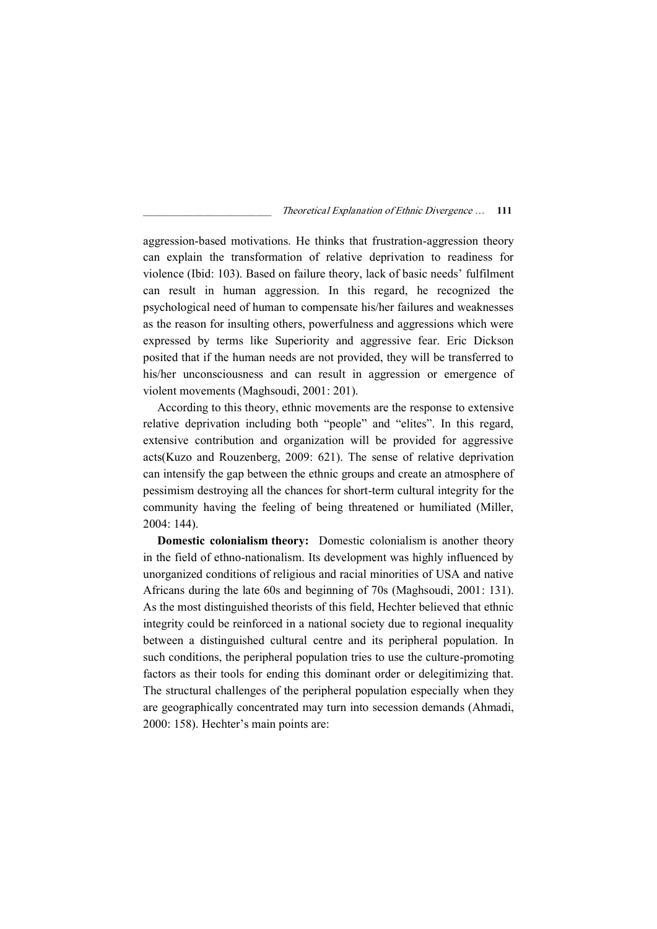aggression-based motivations. He thinks that frustration-aggression theory can explain the transformation of relative deprivation to readiness for violence (Ibid: 103). Based on failure theory, lack of basic needs' fulfilment can result in human aggression. In this regard, he recognized the psychological need of human to compensate his/her failures and weaknesses as the reason for insulting others, powerfulness and aggressions which were expressed by terms like Superiority and aggressive fear. Eric Dickson posited that if the human needs are not provided, they will be transferred to his/her unconsciousness and can result in aggression or emergence of violent movements (Maghsoudi, 2001: 201).

According to this theory, ethnic movements are the response to extensive relative deprivation including both "people" and "elites". In this regard, extensive contribution and organization will be provided for aggressive acts(Kuzo and Rouzenberg, 2009: 621). The sense of relative deprivation can intensify the gap between the ethnic groups and create an atmosphere of pessimism destroying all the chances for short-term cultural integrity for the community having the feeling of being threatened or humiliated (Miller, 2004: 144).

Domestic colonialism theory: Domestic colonialism is another theory in the field of ethno-nationalism. Its development was highly influenced by unorganized conditions of religious and racial minorities of USA and native Africans during the late 60s and beginning of 70s (Maghsoudi, 2001: 131). As the most distinguished theorists of this field, Hechter believed that ethnic integrity could be reinforced in a national society due to regional inequality between a distinguished cultural centre and its peripheral population. In such conditions, the peripheral population tries to use the culture-promoting factors as their tools for ending this dominant order or delegitimizing that. The structural challenges of the peripheral population especially when they are geographically concentrated may turn into secession demands (Ahmadi, 2000: 158). Hechter's main points are: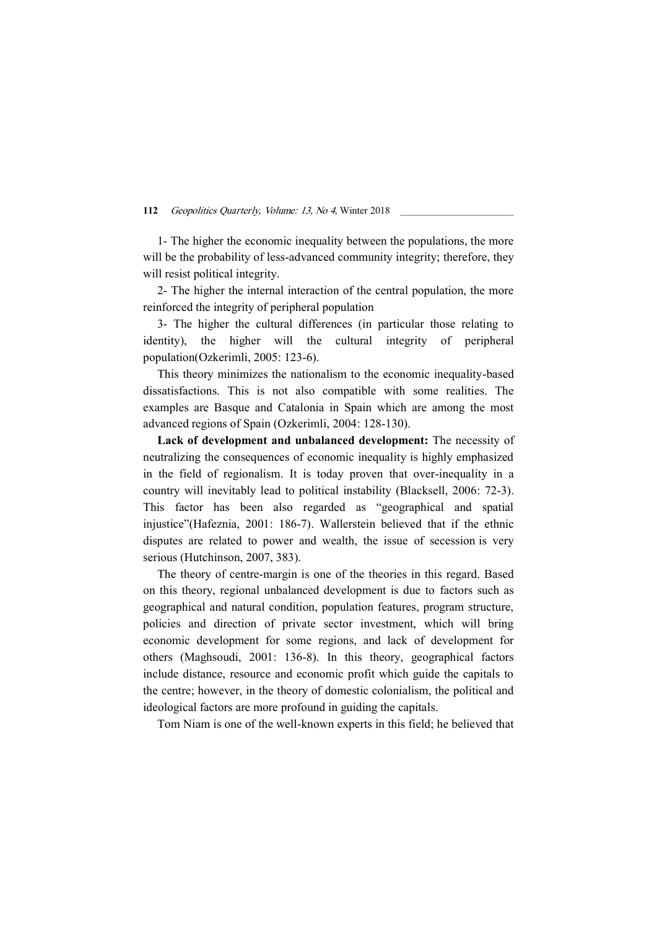1- The higher the economic inequality between the populations, the more will be the probability of less-advanced community integrity; therefore, they will resist political integrity.

2- The higher the internal interaction of the central population, the more reinforced the integrity of peripheral population

3- The higher the cultural differences (in particular those relating to identity), the higher will the cultural integrity of peripheral population(Ozkerimli, 2005: 123-6).

This theory minimizes the nationalism to the economic inequality-based dissatisfactions. This is not also compatible with some realities. The examples are Basque and Catalonia in Spain which are among the most advanced regions of Spain (Ozkerimli, 2004: 128-130).

Lack of development and unbalanced development: The necessity of neutralizing the consequences of economic inequality is highly emphasized in the field of regionalism. It is today proven that over-inequality in a country will inevitably lead to political instability (Blacksell, 2006: 72-3). This factor has been also regarded as "geographical and spatial injustice"(Hafeznia, 2001: 186-7). Wallerstein believed that if the ethnic disputes are related to power and wealth, the issue of secession is very serious (Hutchinson, 2007, 383).

The theory of centre-margin is one of the theories in this regard. Based on this theory, regional unbalanced development is due to factors such as geographical and natural condition, population features, program structure, policies and direction of private sector investment, which will bring economic development for some regions, and lack of development for others (Maghsoudi, 2001: 136-8). In this theory, geographical factors include distance, resource and economic profit which guide the capitals to the centre; however, in the theory of domestic colonialism, the political and ideological factors are more profound in guiding the capitals.

Tom Niam is one of the well-known experts in this field; he believed that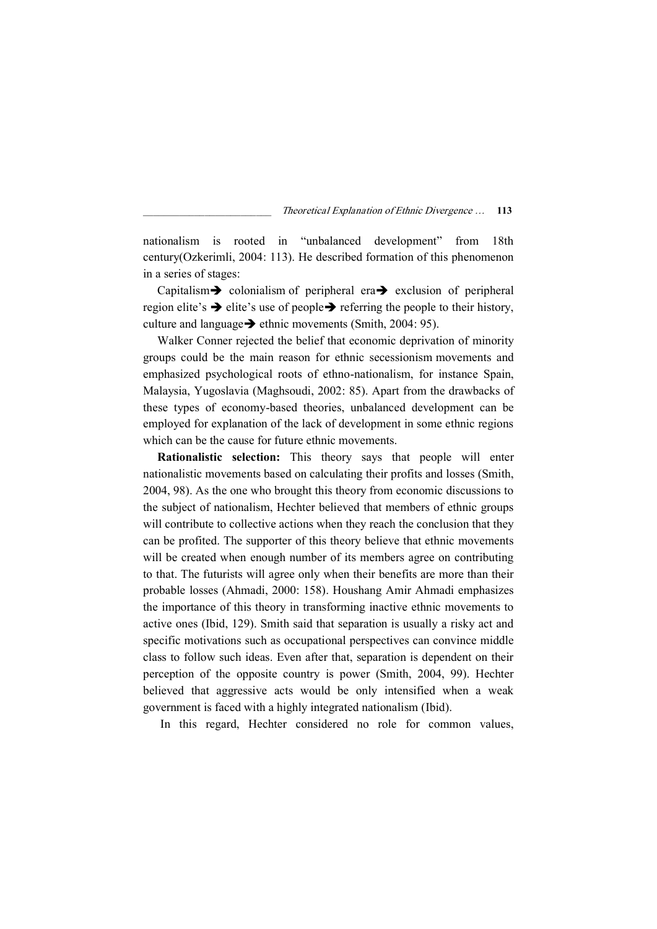nationalism is rooted in "unbalanced development" from 18th century(Ozkerimli, 2004: 113). He described formation of this phenomenon in a series of stages:

Capitalism colonialism of peripheral era  $\rightarrow$  exclusion of peripheral region elite's  $\rightarrow$  elite's use of people  $\rightarrow$  referring the people to their history, culture and language  $\rightarrow$  ethnic movements (Smith, 2004: 95).

Walker Conner rejected the belief that economic deprivation of minority groups could be the main reason for ethnic secessionism movements and emphasized psychological roots of ethno-nationalism, for instance Spain, Malaysia, Yugoslavia (Maghsoudi, 2002: 85). Apart from the drawbacks of these types of economy-based theories, unbalanced development can be employed for explanation of the lack of development in some ethnic regions which can be the cause for future ethnic movements.

Rationalistic selection: This theory says that people will enter nationalistic movements based on calculating their profits and losses (Smith, 2004, 98). As the one who brought this theory from economic discussions to the subject of nationalism, Hechter believed that members of ethnic groups will contribute to collective actions when they reach the conclusion that they can be profited. The supporter of this theory believe that ethnic movements will be created when enough number of its members agree on contributing to that. The futurists will agree only when their benefits are more than their probable losses (Ahmadi, 2000: 158). Houshang Amir Ahmadi emphasizes the importance of this theory in transforming inactive ethnic movements to active ones (Ibid, 129). Smith said that separation is usually a risky act and specific motivations such as occupational perspectives can convince middle class to follow such ideas. Even after that, separation is dependent on their perception of the opposite country is power (Smith, 2004, 99). Hechter believed that aggressive acts would be only intensified when a weak government is faced with a highly integrated nationalism (Ibid).

In this regard, Hechter considered no role for common values,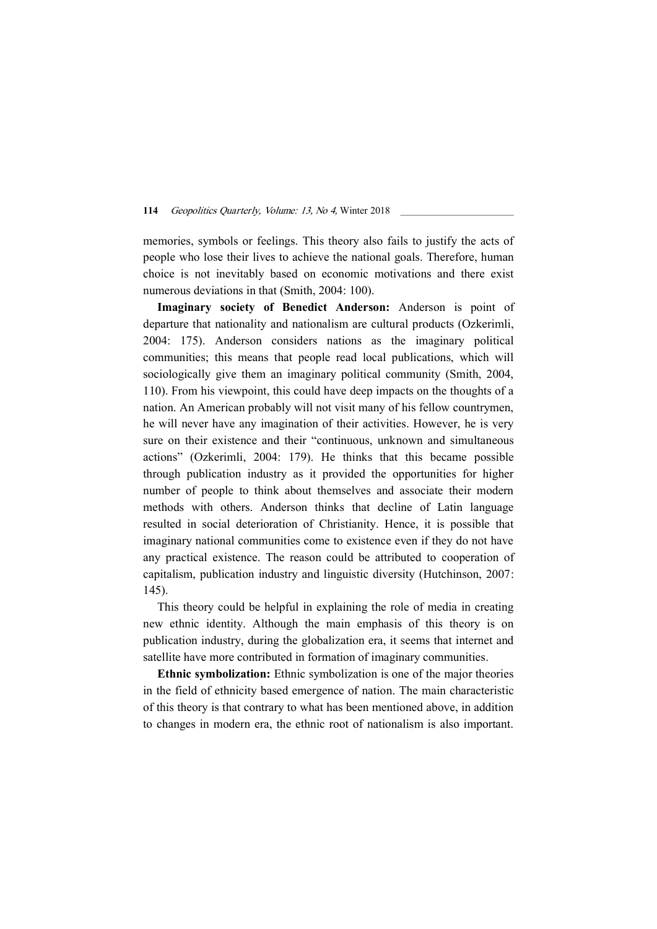memories, symbols or feelings. This theory also fails to justify the acts of people who lose their lives to achieve the national goals. Therefore, human choice is not inevitably based on economic motivations and there exist numerous deviations in that (Smith, 2004: 100).

Imaginary society of Benedict Anderson: Anderson is point of departure that nationality and nationalism are cultural products (Ozkerimli, 2004: 175). Anderson considers nations as the imaginary political communities; this means that people read local publications, which will sociologically give them an imaginary political community (Smith, 2004, 110). From his viewpoint, this could have deep impacts on the thoughts of a nation. An American probably will not visit many of his fellow countrymen, he will never have any imagination of their activities. However, he is very sure on their existence and their "continuous, unknown and simultaneous actions" (Ozkerimli, 2004: 179). He thinks that this became possible through publication industry as it provided the opportunities for higher number of people to think about themselves and associate their modern methods with others. Anderson thinks that decline of Latin language resulted in social deterioration of Christianity. Hence, it is possible that imaginary national communities come to existence even if they do not have any practical existence. The reason could be attributed to cooperation of capitalism, publication industry and linguistic diversity (Hutchinson, 2007: 145).

This theory could be helpful in explaining the role of media in creating new ethnic identity. Although the main emphasis of this theory is on publication industry, during the globalization era, it seems that internet and satellite have more contributed in formation of imaginary communities.

Ethnic symbolization: Ethnic symbolization is one of the major theories in the field of ethnicity based emergence of nation. The main characteristic of this theory is that contrary to what has been mentioned above, in addition to changes in modern era, the ethnic root of nationalism is also important.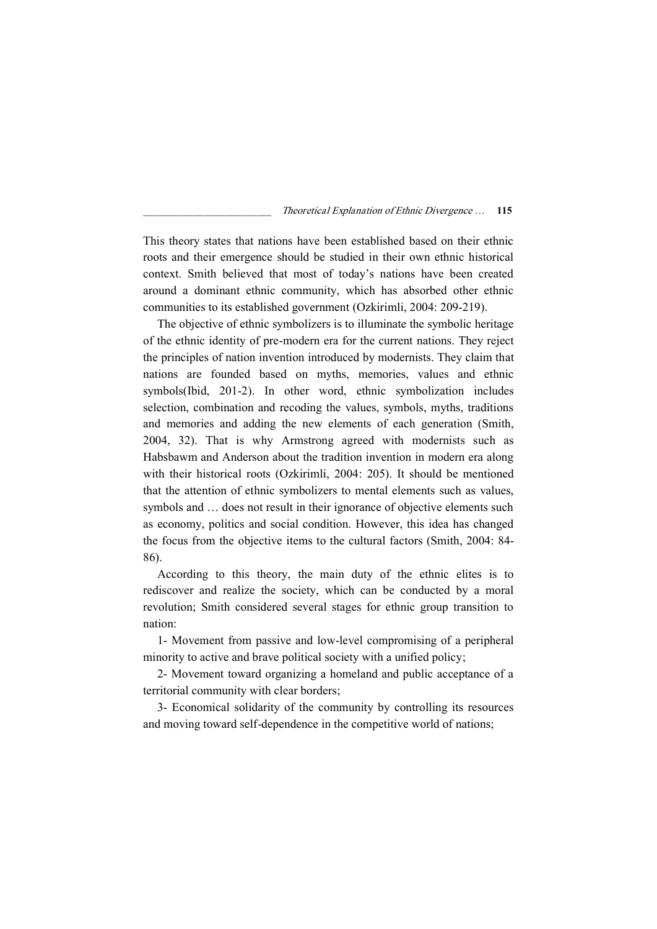This theory states that nations have been established based on their ethnic roots and their emergence should be studied in their own ethnic historical context. Smith believed that most of today's nations have been created around a dominant ethnic community, which has absorbed other ethnic communities to its established government (Ozkirimli, 2004: 209-219).

The objective of ethnic symbolizers is to illuminate the symbolic heritage of the ethnic identity of pre-modern era for the current nations. They reject the principles of nation invention introduced by modernists. They claim that nations are founded based on myths, memories, values and ethnic symbols(Ibid, 201-2). In other word, ethnic symbolization includes selection, combination and recoding the values, symbols, myths, traditions and memories and adding the new elements of each generation (Smith, 2004, 32). That is why Armstrong agreed with modernists such as Habsbawm and Anderson about the tradition invention in modern era along with their historical roots (Ozkirimli, 2004: 205). It should be mentioned that the attention of ethnic symbolizers to mental elements such as values, symbols and … does not result in their ignorance of objective elements such as economy, politics and social condition. However, this idea has changed the focus from the objective items to the cultural factors (Smith, 2004: 84- 86).

According to this theory, the main duty of the ethnic elites is to rediscover and realize the society, which can be conducted by a moral revolution; Smith considered several stages for ethnic group transition to nation:

1- Movement from passive and low-level compromising of a peripheral minority to active and brave political society with a unified policy;

2- Movement toward organizing a homeland and public acceptance of a territorial community with clear borders;

3- Economical solidarity of the community by controlling its resources and moving toward self-dependence in the competitive world of nations;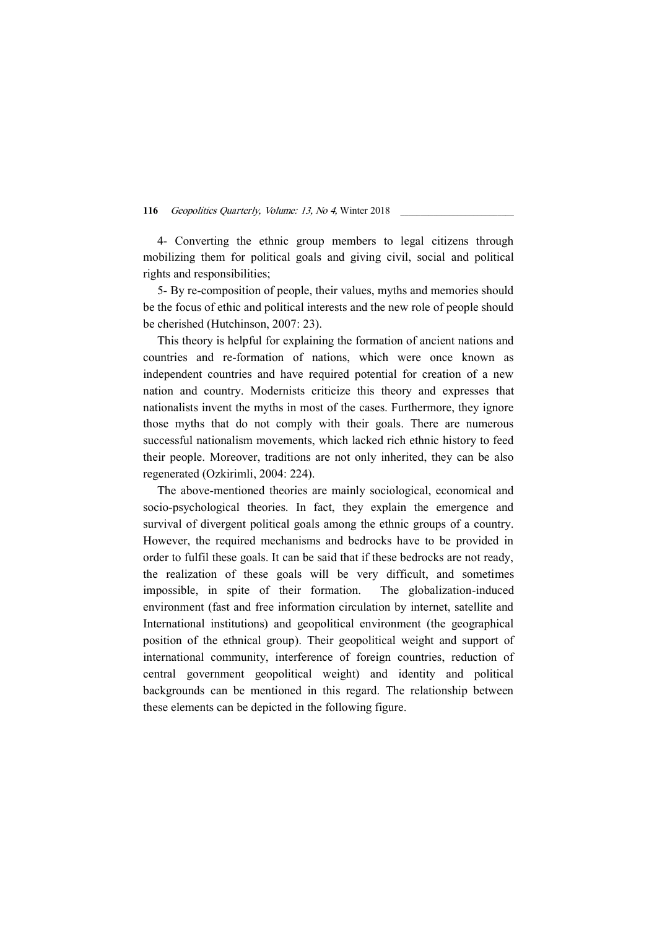4- Converting the ethnic group members to legal citizens through mobilizing them for political goals and giving civil, social and political rights and responsibilities;

5- By re-composition of people, their values, myths and memories should be the focus of ethic and political interests and the new role of people should be cherished (Hutchinson, 2007: 23).

This theory is helpful for explaining the formation of ancient nations and countries and re-formation of nations, which were once known as independent countries and have required potential for creation of a new nation and country. Modernists criticize this theory and expresses that nationalists invent the myths in most of the cases. Furthermore, they ignore those myths that do not comply with their goals. There are numerous successful nationalism movements, which lacked rich ethnic history to feed their people. Moreover, traditions are not only inherited, they can be also regenerated (Ozkirimli, 2004: 224).

The above-mentioned theories are mainly sociological, economical and socio-psychological theories. In fact, they explain the emergence and survival of divergent political goals among the ethnic groups of a country. However, the required mechanisms and bedrocks have to be provided in order to fulfil these goals. It can be said that if these bedrocks are not ready, the realization of these goals will be very difficult, and sometimes impossible, in spite of their formation. The globalization-induced environment (fast and free information circulation by internet, satellite and International institutions) and geopolitical environment (the geographical position of the ethnical group). Their geopolitical weight and support of international community, interference of foreign countries, reduction of central government geopolitical weight) and identity and political backgrounds can be mentioned in this regard. The relationship between these elements can be depicted in the following figure.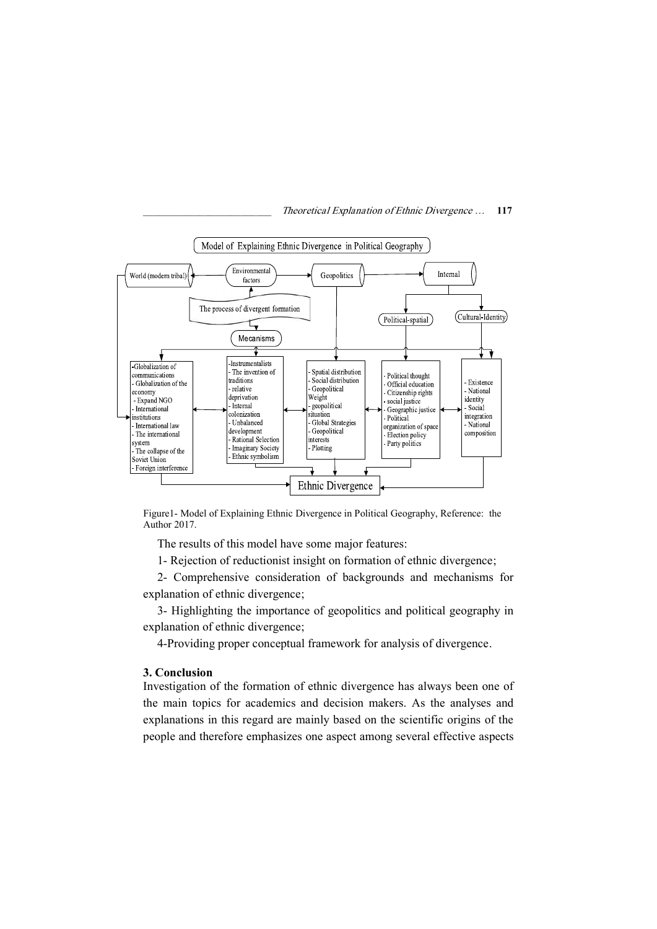

Figure1- Model of Explaining Ethnic Divergence in Political Geography, Reference: the Author 2017.

The results of this model have some major features:

1- Rejection of reductionist insight on formation of ethnic divergence;

2- Comprehensive consideration of backgrounds and mechanisms for explanation of ethnic divergence;

3- Highlighting the importance of geopolitics and political geography in explanation of ethnic divergence;

4-Providing proper conceptual framework for analysis of divergence.

# 3. Conclusion

Investigation of the formation of ethnic divergence has always been one of the main topics for academics and decision makers. As the analyses and explanations in this regard are mainly based on the scientific origins of the people and therefore emphasizes one aspect among several effective aspects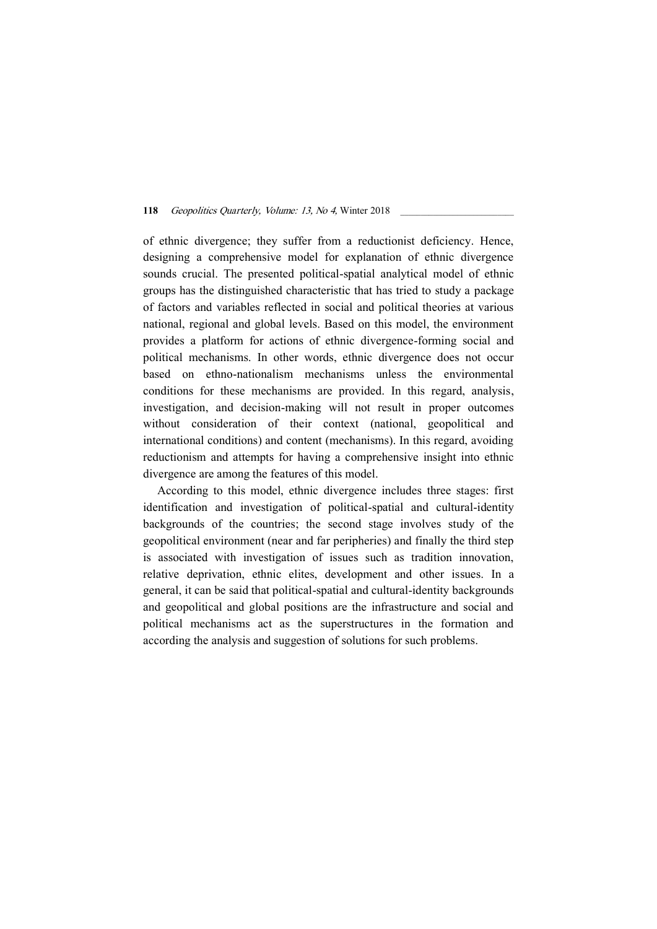of ethnic divergence; they suffer from a reductionist deficiency. Hence, designing a comprehensive model for explanation of ethnic divergence sounds crucial. The presented political-spatial analytical model of ethnic groups has the distinguished characteristic that has tried to study a package of factors and variables reflected in social and political theories at various national, regional and global levels. Based on this model, the environment provides a platform for actions of ethnic divergence-forming social and political mechanisms. In other words, ethnic divergence does not occur based on ethno-nationalism mechanisms unless the environmental conditions for these mechanisms are provided. In this regard, analysis, investigation, and decision-making will not result in proper outcomes without consideration of their context (national, geopolitical and international conditions) and content (mechanisms). In this regard, avoiding reductionism and attempts for having a comprehensive insight into ethnic divergence are among the features of this model.

According to this model, ethnic divergence includes three stages: first identification and investigation of political-spatial and cultural-identity backgrounds of the countries; the second stage involves study of the geopolitical environment (near and far peripheries) and finally the third step is associated with investigation of issues such as tradition innovation, relative deprivation, ethnic elites, development and other issues. In a general, it can be said that political-spatial and cultural-identity backgrounds and geopolitical and global positions are the infrastructure and social and political mechanisms act as the superstructures in the formation and according the analysis and suggestion of solutions for such problems.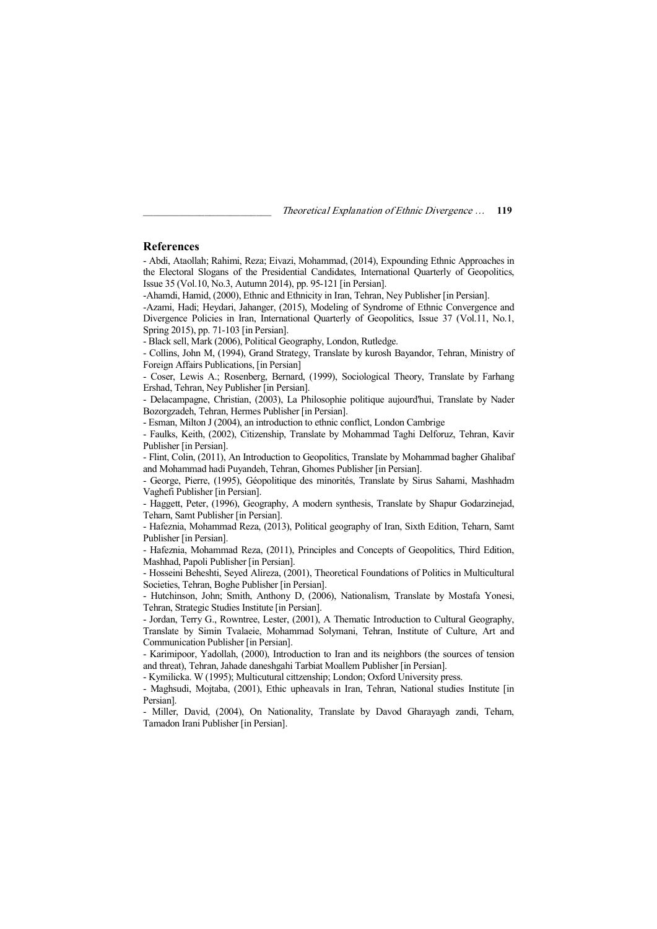#### References

- Abdi, Ataollah; Rahimi, Reza; Eivazi, Mohammad, (2014), Expounding Ethnic Approaches in the Electoral Slogans of the Presidential Candidates, International Quarterly of Geopolitics, Issue 35 (Vol.10, No.3, Autumn 2014), pp. 95-121 [in Persian].

-Ahamdi, Hamid, (2000), Ethnic and Ethnicity in Iran, Tehran, Ney Publisher [in Persian].

-Azami, Hadi; Heydari, Jahanger, (2015), Modeling of Syndrome of Ethnic Convergence and Divergence Policies in Iran, International Quarterly of Geopolitics, Issue 37 (Vol.11, No.1, Spring 2015), pp. 71-103 [in Persian].

- Black sell, Mark (2006), Political Geography, London, Rutledge.

- Collins, John M, (1994), Grand Strategy, Translate by kurosh Bayandor, Tehran, Ministry of Foreign Affairs Publications, [in Persian]

- Coser, Lewis A.; Rosenberg, Bernard, (1999), Sociological Theory, Translate by Farhang Ershad, Tehran, Ney Publisher [in Persian].

- Delacampagne, Christian, (2003), La Philosophie politique aujourd'hui, Translate by Nader Bozorgzadeh, Tehran, Hermes Publisher [in Persian].

- Esman, Milton J (2004), an introduction to ethnic conflict, London Cambrige

- Faulks, Keith, (2002), Citizenship, Translate by Mohammad Taghi Delforuz, Tehran, Kavir Publisher [in Persian].

- Flint, Colin, (2011), An Introduction to Geopolitics, Translate by Mohammad bagher Ghalibaf and Mohammad hadi Puyandeh, Tehran, Ghomes Publisher [in Persian].

- George, Pierre, (1995), Géopolitique des minorités, Translate by Sirus Sahami, Mashhadm Vaghefi Publisher [in Persian].

- Haggett, Peter, (1996), Geography, A modern synthesis, Translate by Shapur Godarzinejad, Teharn, Samt Publisher [in Persian].

- Hafeznia, Mohammad Reza, (2013), Political geography of Iran, Sixth Edition, Teharn, Samt Publisher [in Persian].

- Hafeznia, Mohammad Reza, (2011), Principles and Concepts of Geopolitics, Third Edition, Mashhad, Papoli Publisher [in Persian].

- Hosseini Beheshti, Seyed Alireza, (2001), Theoretical Foundations of Politics in Multicultural Societies, Tehran, Boghe Publisher [in Persian].

- Hutchinson, John; Smith, Anthony D, (2006), Nationalism, Translate by Mostafa Yonesi, Tehran, Strategic Studies Institute [in Persian].

- Jordan, Terry G., Rowntree, Lester, (2001), A Thematic Introduction to Cultural Geography, Translate by Simin Tvalaeie, Mohammad Solymani, Tehran, Institute of Culture, Art and Communication Publisher [in Persian].

- Karimipoor, Yadollah, (2000), Introduction to Iran and its neighbors (the sources of tension and threat), Tehran, Jahade daneshgahi Tarbiat Moallem Publisher [in Persian].

- Kymilicka. W (1995); Multicutural cittzenship; London; Oxford University press.

- Maghsudi, Mojtaba, (2001), Ethic upheavals in Iran, Tehran, National studies Institute [in Persian].

- Miller, David, (2004), On Nationality, Translate by Davod Gharayagh zandi, Teharn, Tamadon Irani Publisher [in Persian].